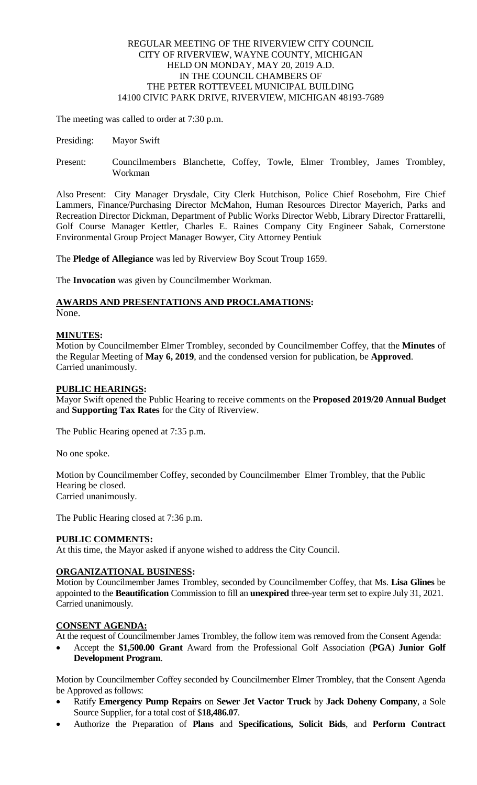# REGULAR MEETING OF THE RIVERVIEW CITY COUNCIL CITY OF RIVERVIEW, WAYNE COUNTY, MICHIGAN HELD ON MONDAY, MAY 20, 2019 A.D. IN THE COUNCIL CHAMBERS OF THE PETER ROTTEVEEL MUNICIPAL BUILDING 14100 CIVIC PARK DRIVE, RIVERVIEW, MICHIGAN 48193-7689

The meeting was called to order at 7:30 p.m.

- Presiding: Mayor Swift
- Present: Councilmembers Blanchette, Coffey, Towle, Elmer Trombley, James Trombley, Workman

Also Present: City Manager Drysdale, City Clerk Hutchison, Police Chief Rosebohm, Fire Chief Lammers, Finance/Purchasing Director McMahon, Human Resources Director Mayerich, Parks and Recreation Director Dickman, Department of Public Works Director Webb, Library Director Frattarelli, Golf Course Manager Kettler, Charles E. Raines Company City Engineer Sabak, Cornerstone Environmental Group Project Manager Bowyer, City Attorney Pentiuk

The **Pledge of Allegiance** was led by Riverview Boy Scout Troup 1659.

The **Invocation** was given by Councilmember Workman.

# **AWARDS AND PRESENTATIONS AND PROCLAMATIONS:**

None.

# **MINUTES:**

Motion by Councilmember Elmer Trombley, seconded by Councilmember Coffey, that the **Minutes** of the Regular Meeting of **May 6, 2019**, and the condensed version for publication, be **Approved**. Carried unanimously.

# **PUBLIC HEARINGS:**

Mayor Swift opened the Public Hearing to receive comments on the **Proposed 2019/20 Annual Budget** and **Supporting Tax Rates** for the City of Riverview.

The Public Hearing opened at 7:35 p.m.

No one spoke.

Motion by Councilmember Coffey, seconded by Councilmember Elmer Trombley, that the Public Hearing be closed. Carried unanimously.

The Public Hearing closed at 7:36 p.m.

# **PUBLIC COMMENTS:**

At this time, the Mayor asked if anyone wished to address the City Council.

# **ORGANIZATIONAL BUSINESS:**

Motion by Councilmember James Trombley, seconded by Councilmember Coffey, that Ms. **Lisa Glines** be appointed to the **Beautification** Commission to fill an **unexpired** three-year term set to expire July 31, 2021. Carried unanimously.

# **CONSENT AGENDA:**

At the request of Councilmember James Trombley, the follow item was removed from the Consent Agenda:

 Accept the **\$1,500.00 Grant** Award from the Professional Golf Association (**PGA**) **Junior Golf Development Program**.

Motion by Councilmember Coffey seconded by Councilmember Elmer Trombley, that the Consent Agenda be Approved as follows:

- Ratify **Emergency Pump Repairs** on **Sewer Jet Vactor Truck** by **Jack Doheny Company**, a Sole Source Supplier, for a total cost of \$**18,486.07**.
- Authorize the Preparation of **Plans** and **Specifications, Solicit Bids**, and **Perform Contract**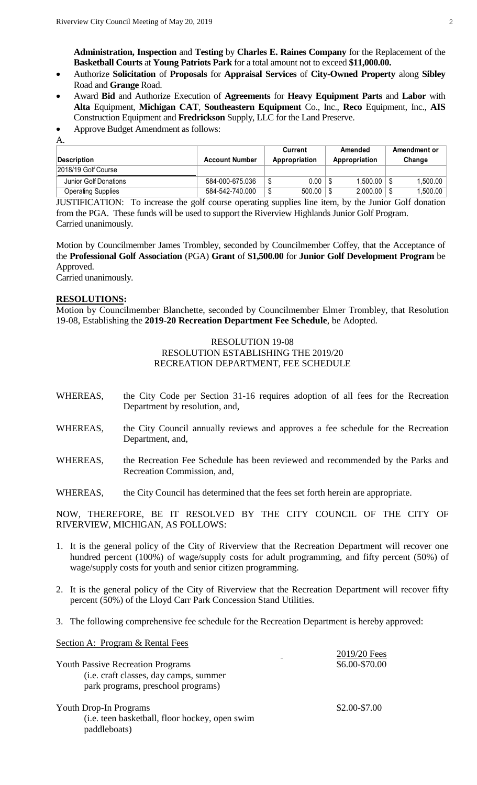**Administration, Inspection** and **Testing** by **Charles E. Raines Company** for the Replacement of the **Basketball Courts** at **Young Patriots Park** for a total amount not to exceed **\$11,000.00.**

- Authorize **Solicitation** of **Proposals** for **Appraisal Services** of **City-Owned Property** along **Sibley**  Road and **Grange** Road.
- Award **Bid** and Authorize Execution of **Agreements** for **Heavy Equipment Parts** and **Labor** with **Alta** Equipment, **Michigan CAT**, **Southeastern Equipment** Co., Inc., **Reco** Equipment, Inc., **AIS**  Construction Equipment and **Fredrickson** Supply, LLC for the Land Preserve.
- Approve Budget Amendment as follows:

A.

|                           |                       | Current       | Amended       |   | Amendment or |
|---------------------------|-----------------------|---------------|---------------|---|--------------|
| Description               | <b>Account Number</b> | Appropriation | Appropriation |   | Change       |
| 2018/19 Golf Course       |                       |               |               |   |              |
| Junior Golf Donations     | 584-000-675.036       | $0.00\,$      | 1.500.00      |   | 1.500.00     |
| <b>Operating Supplies</b> | 584-542-740.000       | 500.00        | 2,000.00      | S | 1,500.00     |

JUSTIFICATION: To increase the golf course operating supplies line item, by the Junior Golf donation from the PGA. These funds will be used to support the Riverview Highlands Junior Golf Program. Carried unanimously.

Motion by Councilmember James Trombley, seconded by Councilmember Coffey, that the Acceptance of the **Professional Golf Association** (PGA) **Grant** of **\$1,500.00** for **Junior Golf Development Program** be Approved.

Carried unanimously.

## **RESOLUTIONS:**

Motion by Councilmember Blanchette, seconded by Councilmember Elmer Trombley, that Resolution 19-08, Establishing the **2019-20 Recreation Department Fee Schedule**, be Adopted.

## RESOLUTION 19-08 RESOLUTION ESTABLISHING THE 2019/20 RECREATION DEPARTMENT, FEE SCHEDULE

- WHEREAS, the City Code per Section 31-16 requires adoption of all fees for the Recreation Department by resolution, and,
- WHEREAS, the City Council annually reviews and approves a fee schedule for the Recreation Department, and,
- WHEREAS, the Recreation Fee Schedule has been reviewed and recommended by the Parks and Recreation Commission, and,
- WHEREAS, the City Council has determined that the fees set forth herein are appropriate.

NOW, THEREFORE, BE IT RESOLVED BY THE CITY COUNCIL OF THE CITY OF RIVERVIEW, MICHIGAN, AS FOLLOWS:

- 1. It is the general policy of the City of Riverview that the Recreation Department will recover one hundred percent (100%) of wage/supply costs for adult programming, and fifty percent (50%) of wage/supply costs for youth and senior citizen programming.
- 2. It is the general policy of the City of Riverview that the Recreation Department will recover fifty percent (50%) of the Lloyd Carr Park Concession Stand Utilities.
- 3. The following comprehensive fee schedule for the Recreation Department is hereby approved:

Section A: Program & Rental Fees

| <b>Youth Passive Recreation Programs</b><br>(i.e. craft classes, day camps, summer<br>park programs, preschool programs) | 2019/20 Fees<br>\$6.00-\$70.00 |
|--------------------------------------------------------------------------------------------------------------------------|--------------------------------|
| Youth Drop-In Programs<br>(i.e. teen basketball, floor hockey, open swim<br>paddleboats)                                 | \$2.00-\$7.00                  |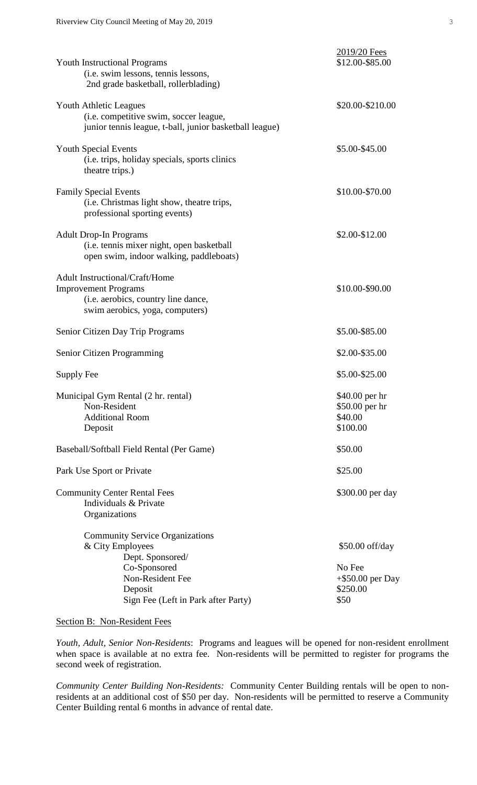| <b>Youth Instructional Programs</b><br>(i.e. swim lessons, tennis lessons,<br>2nd grade basketball, rollerblading)                                                   | 2019/20 Fees<br>\$12.00-\$85.00                                      |  |  |
|----------------------------------------------------------------------------------------------------------------------------------------------------------------------|----------------------------------------------------------------------|--|--|
| <b>Youth Athletic Leagues</b><br>(i.e. competitive swim, soccer league,<br>junior tennis league, t-ball, junior basketball league)                                   | \$20.00-\$210.00                                                     |  |  |
| <b>Youth Special Events</b><br>(i.e. trips, holiday specials, sports clinics)<br>theatre trips.)                                                                     | \$5.00-\$45.00                                                       |  |  |
| <b>Family Special Events</b><br>(i.e. Christmas light show, theatre trips,<br>professional sporting events)                                                          | \$10.00-\$70.00                                                      |  |  |
| <b>Adult Drop-In Programs</b><br>(i.e. tennis mixer night, open basketball<br>open swim, indoor walking, paddleboats)                                                | \$2.00-\$12.00                                                       |  |  |
| <b>Adult Instructional/Craft/Home</b><br><b>Improvement Programs</b><br>(i.e. aerobics, country line dance,<br>swim aerobics, yoga, computers)                       | \$10.00-\$90.00                                                      |  |  |
| Senior Citizen Day Trip Programs                                                                                                                                     | \$5.00-\$85.00                                                       |  |  |
| Senior Citizen Programming                                                                                                                                           | \$2.00-\$35.00                                                       |  |  |
| Supply Fee                                                                                                                                                           | \$5.00-\$25.00                                                       |  |  |
| Municipal Gym Rental (2 hr. rental)<br>Non-Resident<br><b>Additional Room</b><br>Deposit                                                                             | \$40.00 per hr<br>\$50.00 per hr<br>\$40.00<br>\$100.00              |  |  |
| Baseball/Softball Field Rental (Per Game)                                                                                                                            | \$50.00                                                              |  |  |
| Park Use Sport or Private                                                                                                                                            | \$25.00                                                              |  |  |
| <b>Community Center Rental Fees</b><br>Individuals & Private<br>Organizations                                                                                        | \$300.00 per day                                                     |  |  |
| <b>Community Service Organizations</b><br>& City Employees<br>Dept. Sponsored/<br>Co-Sponsored<br>Non-Resident Fee<br>Deposit<br>Sign Fee (Left in Park after Party) | \$50.00 off/day<br>No Fee<br>$+$ \$50.00 per Day<br>\$250.00<br>\$50 |  |  |

## Section B: Non-Resident Fees

*Youth, Adult, Senior Non-Residents*: Programs and leagues will be opened for non-resident enrollment when space is available at no extra fee. Non-residents will be permitted to register for programs the second week of registration.

*Community Center Building Non-Residents:* Community Center Building rentals will be open to nonresidents at an additional cost of \$50 per day. Non-residents will be permitted to reserve a Community Center Building rental 6 months in advance of rental date.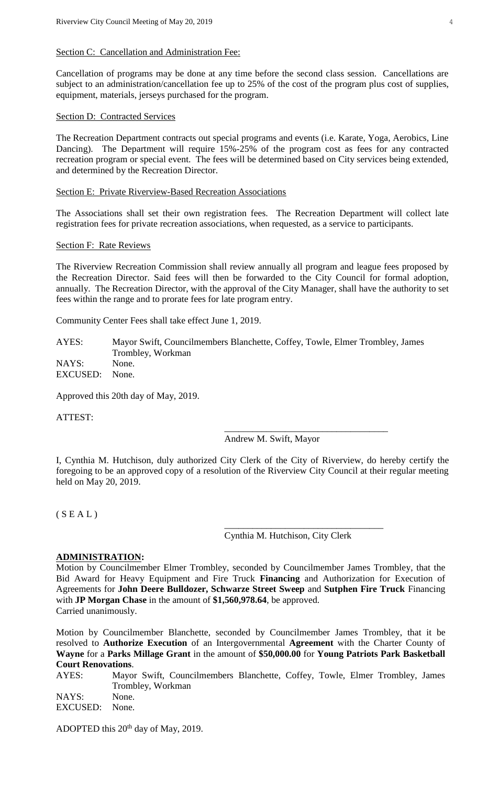## Section C: Cancellation and Administration Fee:

Cancellation of programs may be done at any time before the second class session. Cancellations are subject to an administration/cancellation fee up to 25% of the cost of the program plus cost of supplies, equipment, materials, jerseys purchased for the program.

# Section D: Contracted Services

The Recreation Department contracts out special programs and events (i.e. Karate, Yoga, Aerobics, Line Dancing). The Department will require 15%-25% of the program cost as fees for any contracted recreation program or special event. The fees will be determined based on City services being extended, and determined by the Recreation Director.

## Section E: Private Riverview-Based Recreation Associations

The Associations shall set their own registration fees. The Recreation Department will collect late registration fees for private recreation associations, when requested, as a service to participants.

#### Section F: Rate Reviews

The Riverview Recreation Commission shall review annually all program and league fees proposed by the Recreation Director. Said fees will then be forwarded to the City Council for formal adoption, annually. The Recreation Director, with the approval of the City Manager, shall have the authority to set fees within the range and to prorate fees for late program entry.

Community Center Fees shall take effect June 1, 2019.

AYES: Mayor Swift, Councilmembers Blanchette, Coffey, Towle, Elmer Trombley, James Trombley, Workman NAYS: None. EXCUSED: None.

Approved this 20th day of May, 2019.

ATTEST:

Andrew M. Swift, Mayor

\_\_\_\_\_\_\_\_\_\_\_\_\_\_\_\_\_\_\_\_\_\_\_\_\_\_\_\_\_\_\_\_\_\_\_

I, Cynthia M. Hutchison, duly authorized City Clerk of the City of Riverview, do hereby certify the foregoing to be an approved copy of a resolution of the Riverview City Council at their regular meeting held on May 20, 2019.

 $(S E A L)$ 

Cynthia M. Hutchison, City Clerk

\_\_\_\_\_\_\_\_\_\_\_\_\_\_\_\_\_\_\_\_\_\_\_\_\_\_\_\_\_\_\_\_\_\_

#### **ADMINISTRATION:**

Motion by Councilmember Elmer Trombley, seconded by Councilmember James Trombley, that the Bid Award for Heavy Equipment and Fire Truck **Financing** and Authorization for Execution of Agreements for **John Deere Bulldozer, Schwarze Street Sweep** and **Sutphen Fire Truck** Financing with **JP Morgan Chase** in the amount of **\$1,560,978.64**, be approved. Carried unanimously.

Motion by Councilmember Blanchette, seconded by Councilmember James Trombley, that it be resolved to **Authorize Execution** of an Intergovernmental **Agreement** with the Charter County of **Wayne** for a **Parks Millage Grant** in the amount of **\$50,000.00** for **Young Patriots Park Basketball Court Renovations**.

AYES: Mayor Swift, Councilmembers Blanchette, Coffey, Towle, Elmer Trombley, James Trombley, Workman NAYS: None. EXCUSED: None.

ADOPTED this 20<sup>th</sup> day of May, 2019.